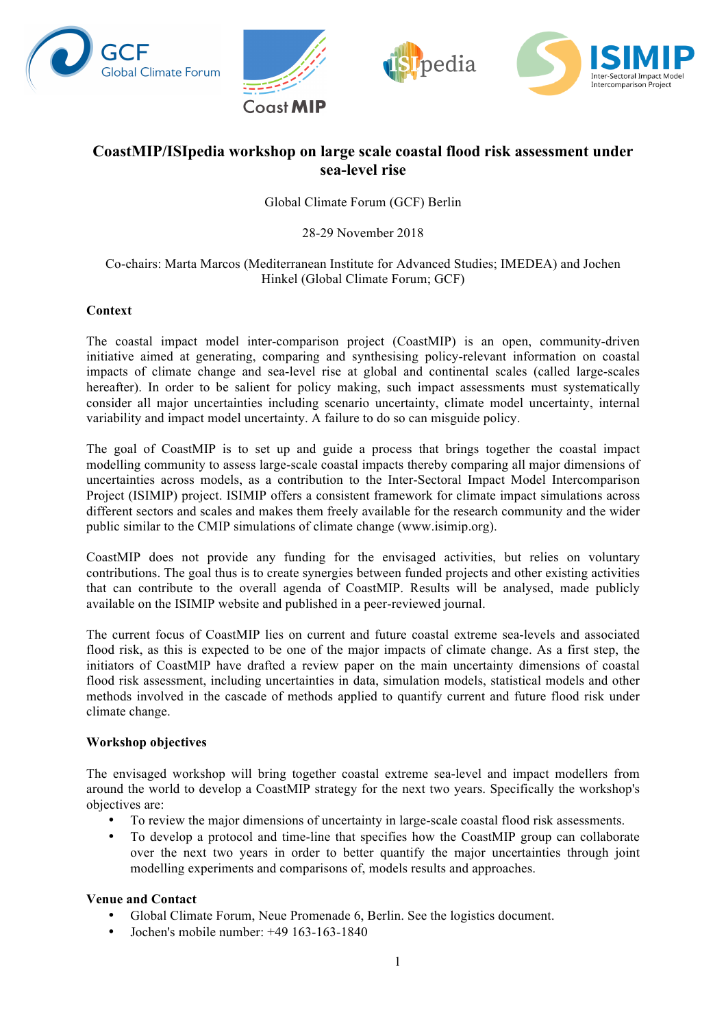







# **CoastMIP/ISIpedia workshop on large scale coastal flood risk assessment under sea-level rise**

Global Climate Forum (GCF) Berlin

28-29 November 2018

#### Co-chairs: Marta Marcos (Mediterranean Institute for Advanced Studies; IMEDEA) and Jochen Hinkel (Global Climate Forum; GCF)

### **Context**

The coastal impact model inter-comparison project (CoastMIP) is an open, community-driven initiative aimed at generating, comparing and synthesising policy-relevant information on coastal impacts of climate change and sea-level rise at global and continental scales (called large-scales hereafter). In order to be salient for policy making, such impact assessments must systematically consider all major uncertainties including scenario uncertainty, climate model uncertainty, internal variability and impact model uncertainty. A failure to do so can misguide policy.

The goal of CoastMIP is to set up and guide a process that brings together the coastal impact modelling community to assess large-scale coastal impacts thereby comparing all major dimensions of uncertainties across models, as a contribution to the Inter-Sectoral Impact Model Intercomparison Project (ISIMIP) project. ISIMIP offers a consistent framework for climate impact simulations across different sectors and scales and makes them freely available for the research community and the wider public similar to the CMIP simulations of climate change (www.isimip.org).

CoastMIP does not provide any funding for the envisaged activities, but relies on voluntary contributions. The goal thus is to create synergies between funded projects and other existing activities that can contribute to the overall agenda of CoastMIP. Results will be analysed, made publicly available on the ISIMIP website and published in a peer-reviewed journal.

The current focus of CoastMIP lies on current and future coastal extreme sea-levels and associated flood risk, as this is expected to be one of the major impacts of climate change. As a first step, the initiators of CoastMIP have drafted a review paper on the main uncertainty dimensions of coastal flood risk assessment, including uncertainties in data, simulation models, statistical models and other methods involved in the cascade of methods applied to quantify current and future flood risk under climate change.

#### **Workshop objectives**

The envisaged workshop will bring together coastal extreme sea-level and impact modellers from around the world to develop a CoastMIP strategy for the next two years. Specifically the workshop's objectives are:

- To review the major dimensions of uncertainty in large-scale coastal flood risk assessments.
- To develop a protocol and time-line that specifies how the CoastMIP group can collaborate over the next two years in order to better quantify the major uncertainties through joint modelling experiments and comparisons of, models results and approaches.

#### **Venue and Contact**

- Global Climate Forum, Neue Promenade 6, Berlin. See the logistics document.
- Jochen's mobile number: +49 163-163-1840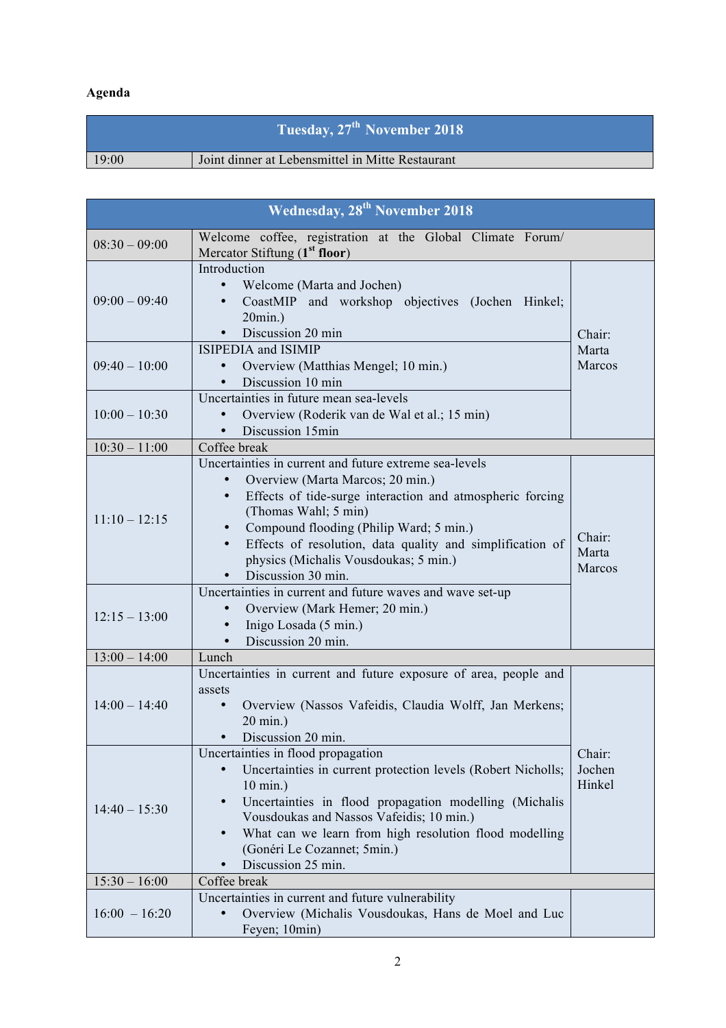# **Agenda**

| Tuesday, 27 <sup>th</sup> November 2018 |                                                  |  |  |  |
|-----------------------------------------|--------------------------------------------------|--|--|--|
| 19:00                                   | Joint dinner at Lebensmittel in Mitte Restaurant |  |  |  |

| <b>Wednesday, 28<sup>th</sup> November 2018</b> |                                                                                                                                                                                                                                                                                                                                                                                  |                            |  |  |
|-------------------------------------------------|----------------------------------------------------------------------------------------------------------------------------------------------------------------------------------------------------------------------------------------------------------------------------------------------------------------------------------------------------------------------------------|----------------------------|--|--|
| $08:30 - 09:00$                                 | Welcome coffee, registration at the Global Climate Forum/<br>Mercator Stiftung (1 <sup>st</sup> floor)                                                                                                                                                                                                                                                                           |                            |  |  |
| $09:00 - 09:40$                                 | Introduction<br>Welcome (Marta and Jochen)<br>$\bullet$<br>CoastMIP and workshop objectives (Jochen Hinkel;<br>$\bullet$<br>$20$ min.)<br>Discussion 20 min                                                                                                                                                                                                                      | Chair:                     |  |  |
| $09:40 - 10:00$                                 | <b>ISIPEDIA</b> and <b>ISIMIP</b><br>Overview (Matthias Mengel; 10 min.)<br>Discussion 10 min                                                                                                                                                                                                                                                                                    | Marta<br>Marcos            |  |  |
| $10:00 - 10:30$                                 | Uncertainties in future mean sea-levels<br>Overview (Roderik van de Wal et al.; 15 min)<br>$\bullet$<br>Discussion 15min<br>$\bullet$                                                                                                                                                                                                                                            |                            |  |  |
| $10:30 - 11:00$                                 | Coffee break                                                                                                                                                                                                                                                                                                                                                                     |                            |  |  |
| $11:10 - 12:15$                                 | Uncertainties in current and future extreme sea-levels<br>Overview (Marta Marcos; 20 min.)<br>$\bullet$<br>Effects of tide-surge interaction and atmospheric forcing<br>$\bullet$<br>(Thomas Wahl; 5 min)<br>Compound flooding (Philip Ward; 5 min.)<br>Effects of resolution, data quality and simplification of<br>physics (Michalis Vousdoukas; 5 min.)<br>Discussion 30 min. | Chair:<br>Marta<br>Marcos  |  |  |
| $12:15 - 13:00$                                 | Uncertainties in current and future waves and wave set-up<br>Overview (Mark Hemer; 20 min.)<br>$\bullet$<br>Inigo Losada (5 min.)<br>$\bullet$<br>Discussion 20 min.<br>$\bullet$                                                                                                                                                                                                |                            |  |  |
| $13:00 - 14:00$                                 | Lunch                                                                                                                                                                                                                                                                                                                                                                            |                            |  |  |
| $14:00 - 14:40$                                 | Uncertainties in current and future exposure of area, people and<br>assets<br>Overview (Nassos Vafeidis, Claudia Wolff, Jan Merkens;<br>20 min.)<br>Discussion 20 min.                                                                                                                                                                                                           |                            |  |  |
| $14:40 - 15:30$                                 | Uncertainties in flood propagation<br>Uncertainties in current protection levels (Robert Nicholls;<br>10 min.)<br>Uncertainties in flood propagation modelling (Michalis<br>$\bullet$<br>Vousdoukas and Nassos Vafeidis; 10 min.)<br>What can we learn from high resolution flood modelling<br>(Gonéri Le Cozannet; 5min.)<br>Discussion 25 min.                                 | Chair:<br>Jochen<br>Hinkel |  |  |
| $15:30 - 16:00$                                 | Coffee break                                                                                                                                                                                                                                                                                                                                                                     |                            |  |  |
| $16:00 - 16:20$                                 | Uncertainties in current and future vulnerability<br>Overview (Michalis Vousdoukas, Hans de Moel and Luc<br>Feyen; 10min)                                                                                                                                                                                                                                                        |                            |  |  |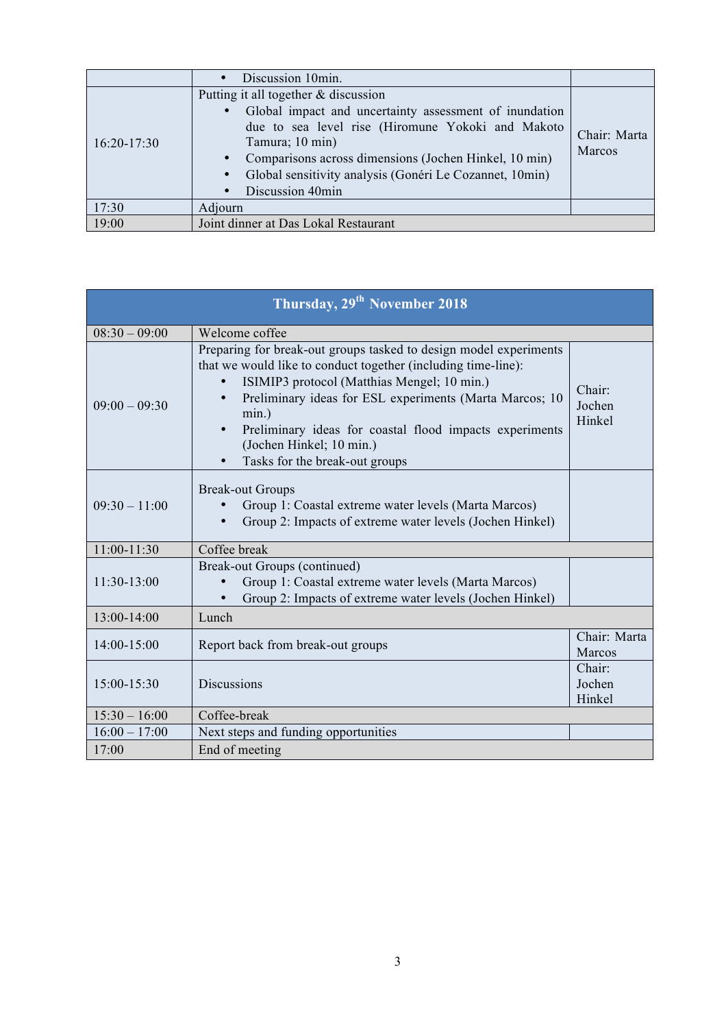|               | Discussion 10min.                                                                                                                                                                                                                                                                                                                                                    |                        |
|---------------|----------------------------------------------------------------------------------------------------------------------------------------------------------------------------------------------------------------------------------------------------------------------------------------------------------------------------------------------------------------------|------------------------|
| $16:20-17:30$ | Putting it all together $&$ discussion<br>Global impact and uncertainty assessment of inundation<br>$\bullet$<br>due to sea level rise (Hiromune Yokoki and Makoto<br>Tamura; 10 min)<br>Comparisons across dimensions (Jochen Hinkel, 10 min)<br>$\bullet$<br>Global sensitivity analysis (Gonéri Le Cozannet, 10min)<br>$\bullet$<br>Discussion 40min<br>$\bullet$ | Chair: Marta<br>Marcos |
|               |                                                                                                                                                                                                                                                                                                                                                                      |                        |
| 17:30         | Adjourn                                                                                                                                                                                                                                                                                                                                                              |                        |
| 19:00         | Joint dinner at Das Lokal Restaurant                                                                                                                                                                                                                                                                                                                                 |                        |

| Thursday, 29 <sup>th</sup> November 2018 |                                                                                                                                                                                                                                                                                                                                                                                             |                            |  |  |
|------------------------------------------|---------------------------------------------------------------------------------------------------------------------------------------------------------------------------------------------------------------------------------------------------------------------------------------------------------------------------------------------------------------------------------------------|----------------------------|--|--|
| $08:30 - 09:00$                          | Welcome coffee                                                                                                                                                                                                                                                                                                                                                                              |                            |  |  |
| $09:00 - 09:30$                          | Preparing for break-out groups tasked to design model experiments<br>that we would like to conduct together (including time-line):<br>ISIMIP3 protocol (Matthias Mengel; 10 min.)<br>$\bullet$<br>Preliminary ideas for ESL experiments (Marta Marcos; 10<br>min.)<br>Preliminary ideas for coastal flood impacts experiments<br>(Jochen Hinkel; 10 min.)<br>Tasks for the break-out groups | Chair:<br>Jochen<br>Hinkel |  |  |
| $09:30 - 11:00$                          | <b>Break-out Groups</b><br>Group 1: Coastal extreme water levels (Marta Marcos)<br>Group 2: Impacts of extreme water levels (Jochen Hinkel)                                                                                                                                                                                                                                                 |                            |  |  |
| 11:00-11:30                              | Coffee break                                                                                                                                                                                                                                                                                                                                                                                |                            |  |  |
| 11:30-13:00                              | Break-out Groups (continued)<br>Group 1: Coastal extreme water levels (Marta Marcos)<br>Group 2: Impacts of extreme water levels (Jochen Hinkel)                                                                                                                                                                                                                                            |                            |  |  |
| 13:00-14:00                              | Lunch                                                                                                                                                                                                                                                                                                                                                                                       |                            |  |  |
| 14:00-15:00                              | Report back from break-out groups                                                                                                                                                                                                                                                                                                                                                           | Chair: Marta<br>Marcos     |  |  |
| 15:00-15:30                              | <b>Discussions</b>                                                                                                                                                                                                                                                                                                                                                                          | Chair:<br>Jochen<br>Hinkel |  |  |
| $15:30 - 16:00$                          | Coffee-break                                                                                                                                                                                                                                                                                                                                                                                |                            |  |  |
| $16:00 - 17:00$                          | Next steps and funding opportunities                                                                                                                                                                                                                                                                                                                                                        |                            |  |  |
| 17:00                                    | End of meeting                                                                                                                                                                                                                                                                                                                                                                              |                            |  |  |